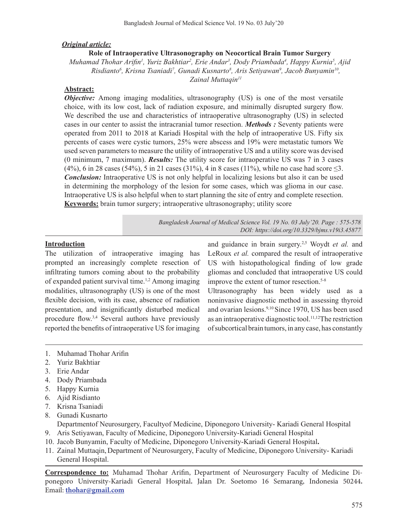### *Original article:*

#### **Role of Intraoperative Ultrasonography on Neocortical Brain Tumor Surgery**

*Muhamad Thohar Arifin<sup>1</sup> , Yuriz Bakhtiar2 , Erie Andar3 , Dody Priambada4 , Happy Kurnia5 , Ajid Risdianto6 , Krisna Tsaniadi7 , Gunadi Kusnarto8 , Aris Setiyawan9 , Jacob Bunyamin10, Zainal Muttaqin11*

### **Abstract:**

*Objective:* Among imaging modalities, ultrasonography (US) is one of the most versatile choice, with its low cost, lack of radiation exposure, and minimally disrupted surgery flow. We described the use and characteristics of intraoperative ultrasonography (US) in selected cases in our center to assist the intracranial tumor resection. *Methods :* Seventy patients were operated from 2011 to 2018 at Kariadi Hospital with the help of intraoperative US. Fifty six percents of cases were cystic tumors, 25% were abscess and 19% were metastatic tumors We used seven parameters to measure the utility of intraoperative US and a utility score was devised (0 minimum, 7 maximum). *Results:* The utility score for intraoperative US was 7 in 3 cases (4%), 6 in 28 cases (54%), 5 in 21 cases (31%), 4 in 8 cases (11%), while no case had score  $\leq$ 3. *Conclusion:* Intraoperative US is not only helpful in localizing lesions but also it can be used in determining the morphology of the lesion for some cases, which was glioma in our case. Intraoperative US is also helpful when to start planning the site of entry and complete resection. **Keywords:** brain tumor surgery; intraoperative ultrasonography; utility score

> *Bangladesh Journal of Medical Science Vol. 19 No. 03 July'20. Page : 575-578 DOI: https://doi.org/10.3329/bjms.v19i3.45877*

### **Introduction**

The utilization of intraoperative imaging has prompted an increasingly complete resection of infiltrating tumors coming about to the probability of expanded patient survival time. 1,2 Among imaging modalities, ultrasonography (US) is one of the most flexible decision, with its ease, absence of radiation presentation, and insignificantly disturbed medical procedure flow.<sup>3,4</sup> Several authors have previously reported the benefits of intraoperative US for imaging and guidance in brain surgery.2,5 Woydt *et al.* and LeRoux *et al.* compared the result of intraoperative US with histopathological finding of low grade gliomas and concluded that intraoperative US could improve the extent of tumor resection.<sup>5-8</sup>

Ultrasonography has been widely used as a noninvasive diagnostic method in assessing thyroid and ovarian lesions.9,10 Since 1970, US has been used as an intraoperative diagnostic tool.<sup>11,12</sup>The restriction of subcortical brain tumors, in any case, has constantly

- 1. Muhamad Thohar Arifin
- 2. Yuriz Bakhtiar
- 3. Erie Andar
- 4. Dody Priambada
- 5. Happy Kurnia
- 6. Ajid Risdianto
- 7. Krisna Tsaniadi
- 8. Gunadi Kusnarto Departmentof Neurosurgery, Facultyof Medicine, Diponegoro University- Kariadi General Hospital
- 9. Aris Setiyawan, Faculty of Medicine, Diponegoro University-Kariadi General Hospital
- 10. Jacob Bunyamin, Faculty of Medicine, Diponegoro University-Kariadi General Hospital**.**
- 11. Zainal Muttaqin, Department of Neurosurgery, Faculty of Medicine, Diponegoro University- Kariadi General Hospital.

**Correspondence to:** Muhamad Thohar Arifin, Department of Neurosurgery Faculty of Medicine Diponegoro University-Kariadi General Hospital**.** Jalan Dr. Soetomo 16 Semarang, Indonesia 50244**.** Email: **thohar@gmail.com**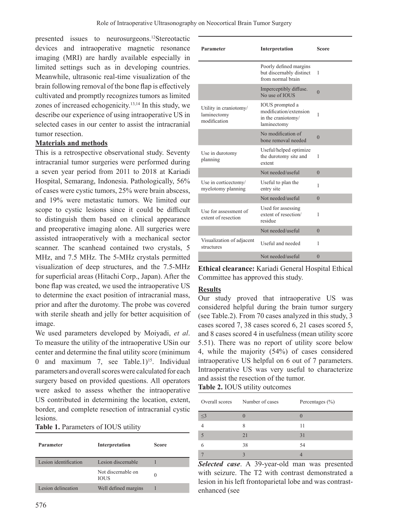presented issues to neurosurgeons. 12Stereotactic devices and intraoperative magnetic resonance imaging (MRI) are hardly available especially in limited settings such as in developing countries. Meanwhile, ultrasonic real-time visualization of the brain following removal of the bone flap is effectively cultivated and promptly recognizes tumors as limited zones of increased echogenicity.13,14 In this study, we describe our experience of using intraoperative US in selected cases in our center to assist the intracranial tumor resection.

## **Materials and methods**

This is a retrospective observational study. Seventy intracranial tumor surgeries were performed during a seven year period from 2011 to 2018 at Kariadi Hospital, Semarang, Indonesia. Pathologically, 56% of cases were cystic tumors, 25% were brain abscess, and 19% were metastatic tumors. We limited our scope to cystic lesions since it could be difficult to distinguish them based on clinical appearance and preoperative imaging alone. All surgeries were assisted intraoperatively with a mechanical sector scanner. The scanhead contained two crystals, 5 MHz, and 7.5 MHz. The 5-MHz crystals permitted visualization of deep structures, and the 7.5-MHz for superficial areas (Hitachi Corp., Japan). After the bone flap was created, we used the intraoperative US to determine the exact position of intracranial mass, prior and after the durotomy. The probe was covered with sterile sheath and jelly for better acquisition of image.

We used parameters developed by Moiyadi, *et al*. To measure the utility of the intraoperative USin our center and determine the final utility score (minimum 0 and maximum 7, see Table.1)<sup>15</sup>. Individual parameters and overall scores were calculated for each surgery based on provided questions. All operators were asked to assess whether the intraoperative US contributed in determining the location, extent, border, and complete resection of intracranial cystic lesions.

| Table 1. Parameters of IOUS utility |  |  |
|-------------------------------------|--|--|
|-------------------------------------|--|--|

| Parameter             | Interpretation                    | <b>Score</b> |
|-----------------------|-----------------------------------|--------------|
| Lesion identification | Lesion discernable                |              |
|                       | Not discernable on<br><b>TOUS</b> |              |
| Lesion delineation    | Well defined margins              |              |

| Interpretation                                                                 | Score          |
|--------------------------------------------------------------------------------|----------------|
| Poorly defined margins<br>but discernably distinct<br>from normal brain        | 1              |
| Imperceptibly diffuse.<br>No use of <b>IOUS</b>                                | $\theta$       |
| IOUS prompted a<br>modification/extension<br>in the craniotomy/<br>laminectomy | 1              |
| No modification of<br>bone removal needed                                      | $\overline{0}$ |
| Useful/helped optimize<br>the durotomy site and<br>extent                      | 1              |
| Not needed/useful                                                              | $\theta$       |
| Useful to plan the<br>entry site                                               | 1              |
| Not needed/useful                                                              | $\theta$       |
| Used for assessing<br>extent of resection/<br>residue                          | 1              |
| Not needed/useful                                                              | $\theta$       |
| Useful and needed                                                              | 1              |
| Not needed/useful                                                              | $\theta$       |
|                                                                                |                |

**Ethical clearance:** Kariadi General Hospital Ethical Committee has approved this study.

#### **Results**

Our study proved that intraoperative US was considered helpful during the brain tumor surgery (see Table.2). From 70 cases analyzed in this study, 3 cases scored 7, 38 cases scored 6, 21 cases scored 5, and 8 cases scored 4 in usefulness (mean utility score 5.51). There was no report of utility score below 4, while the majority (54%) of cases considered intraoperative US helpful on 6 out of 7 parameters. Intraoperative US was very useful to characterize and assist the resection of the tumor.

**Table 2.** IOUS utility outcomes

| Overall scores Number of cases |    | Percentages $(\% )$ |
|--------------------------------|----|---------------------|
| $\leq$ 3                       |    |                     |
|                                |    | 11                  |
|                                | 21 | 31                  |
|                                | 38 | 54                  |
|                                |    |                     |

*Selected case*. A 39-year-old man was presented with seizure. The T2 with contrast demonstrated a lesion in his left frontoparietal lobe and was contrastenhanced (see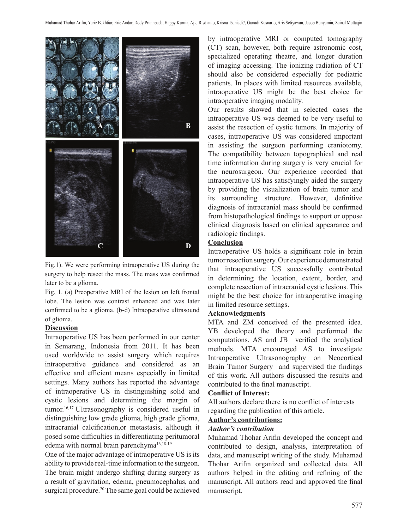

Fig.1). We were performing intraoperative US during the surgery to help resect the mass. The mass was confirmed later to be a glioma.

Fig, 1. (a) Preoperative MRI of the lesion on left frontal lobe. The lesion was contrast enhanced and was later confirmed to be a glioma. (b-d) Intraoperative ultrasound of glioma.

#### **Discussion**

Intraoperative US has been performed in our center in Semarang, Indonesia from 2011. It has been used worldwide to assist surgery which requires intraoperative guidance and considered as an effective and efficient means especially in limited settings. Many authors has reported the advantage of intraoperative US in distinguishing solid and cystic lesions and determining the margin of tumor.16,17 Ultrasonography is considered useful in distinguishing low grade glioma, high grade glioma, intracranial calcification,or metastasis, although it posed some difficulties in differentiating peritumoral edema with normal brain parenchyma<sup>16,18-19</sup>

One of the major advantage of intraoperative US is its ability to provide real-time information to the surgeon. The brain might undergo shifting during surgery as a result of gravitation, edema, pneumocephalus, and surgical procedure.<sup>20</sup> The same goal could be achieved by intraoperative MRI or computed tomography (CT) scan, however, both require astronomic cost, specialized operating theatre, and longer duration of imaging accessing. The ionizing radiation of CT should also be considered especially for pediatric patients. In places with limited resources available, intraoperative US might be the best choice for intraoperative imaging modality.

Our results showed that in selected cases the intraoperative US was deemed to be very useful to assist the resection of cystic tumors. In majority of cases, intraoperative US was considered important in assisting the surgeon performing craniotomy. The compatibility between topographical and real time information during surgery is very crucial for the neurosurgeon. Our experience recorded that intraoperative US has satisfyingly aided the surgery by providing the visualization of brain tumor and its surrounding structure. However, definitive diagnosis of intracranial mass should be confirmed from histopathological findings to support or oppose clinical diagnosis based on clinical appearance and radiologic findings.

### **Conclusion**

Intraoperative US holds a significant role in brain tumor resection surgery. Our experience demonstrated that intraoperative US successfully contributed in determining the location, extent, border, and complete resection of intracranial cystic lesions. This might be the best choice for intraoperative imaging in limited resource settings.

#### **Acknowledgments**

MTA and ZM conceived of the presented idea. YB developed the theory and performed the computations. AS and JB verified the analytical methods. MTA encouraged AS to investigate Intraoperative Ultrasonography on Neocortical Brain Tumor Surgery and supervised the findings of this work. All authors discussed the results and contributed to the final manuscript.

### **Conflict of Interest:**

All authors declare there is no conflict of interests regarding the publication of this article.

### **Author's contributions:**

#### *Author's contribution*

Muhamad Thohar Arifin developed the concept and contributed to design, analysis, interpretation of data, and manuscript writing of the study. Muhamad Thohar Arifin organized and collected data. All authors helped in the editing and refining of the manuscript. All authors read and approved the final manuscript.